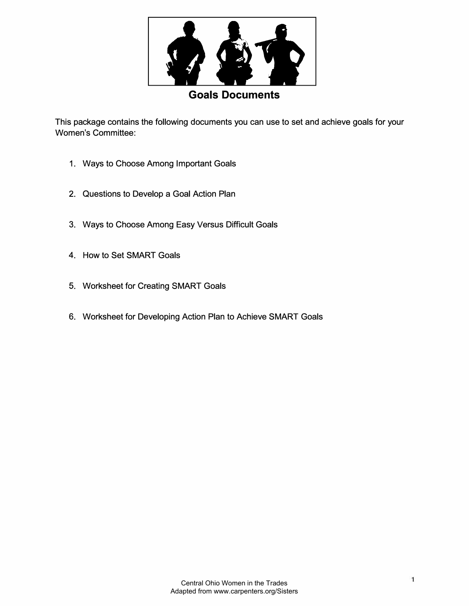

## **Goals Documents**

This package contains the following documents you can use to set and achieve goals for your Women's Committee:

- 1. Ways to Choose Among Important Goals
- 2. Questions to Develop a Goal Action Plan
- 3. Ways to Choose Among Easy Versus Difficult Goals
- 4. How to Set SMART Goals
- 5. Worksheet for Creating SMART Goals
- 6. Worksheet for Developing Action Plan to Achieve SMART Goals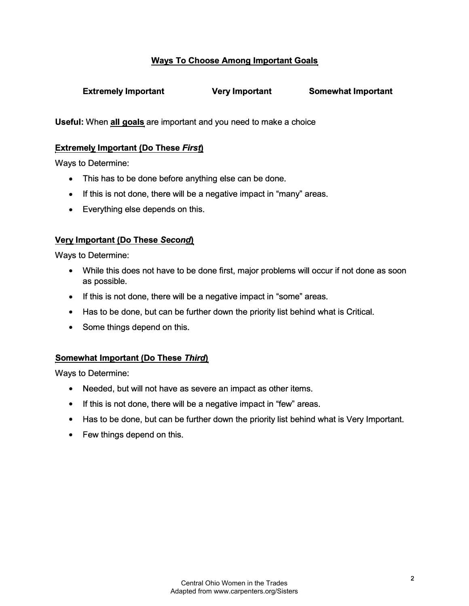## **Ways To Choose Among Important Goals**

**Extremely Important Very Important Somewhat Important** 

**Useful:** When **all goals** are important and you need to make a choice

#### **Extremely Important (Do These** *First)*

Ways to Determine:

- This has to be done before anything else can be done.
- If this is not done, there will be a negative impact in "many" areas.
- Everything else depends on this.

#### **Very Important (Do These Second)**

Ways to Determine:

- While this does not have to be done first, major problems will occur if not done as soon as possible.
- If this is not done, there will be a negative impact in "some" areas.
- Has to be done, but can be further down the priority list behind what is Critical.
- Some things depend on this.

#### **Somewhat Important (Do These** *Third)*

Ways to Determine:

- Needed, but will not have as severe an impact as other items.
- If this is not done, there will be a negative impact in "few" areas.
- Has to be done, but can be further down the priority list behind what is Very Important.
- Few things depend on this.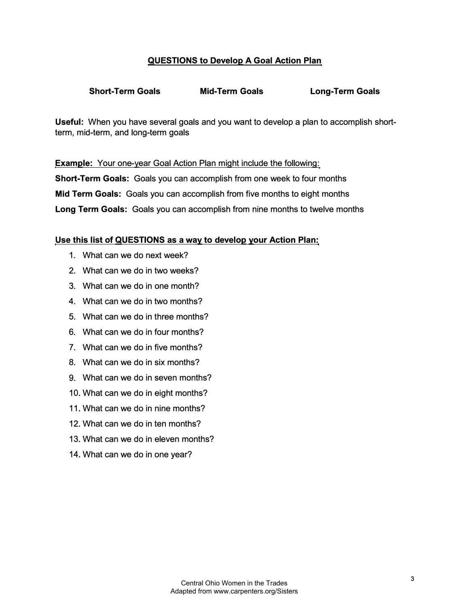## **QUESTIONS to Develop A Goal Action Plan**

## **Short-Term Goals Mid-Term Goals Long-Term Goals**

**Useful:** When you have several goals and you want to develop a plan to accomplish shortterm, mid-term, and long-term goals

**Example:** Your one-year Goal Action Plan might include the following: **Short-Term Goals:** Goals you can accomplish from one week to four months **Mid Term Goals:** Goals you can accomplish from five months to eight months **Long Term Goals:** Goals you can accomplish from nine months to twelve months

#### **Use this list of QUESTIONS as a way to develop your Action Plan:**

- 1. What can we do next week?
- 2. What can we do in two weeks?
- 3. What can we do in one month?
- 4. What can we do in two months?
- 5. What can we do in three months?
- 6. What can we do in four months?
- 7. What can we do in five months?
- 8. What can we do in six months?
- 9. What can we do in seven months?
- 10. What can we do in eight months?
- 11. What can we do in nine months?
- 12. What can we do in ten months?
- 13. What can we do in eleven months?
- 14. What can we do in one year?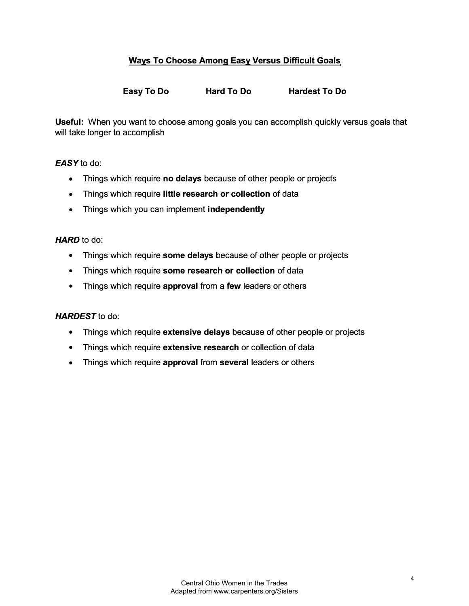## **Ways To Choose Among Easy Versus Difficult Goals**

**Easy To Do Hard To Do Hardest To Do** 

**Useful:** When you want to choose among goals you can accomplish quickly versus goals that will take longer to accomplish

#### *EASYto* do:

- Things which require **no delays** because of other people or projects
- Things which require **little research or collection** of data
- Things which you can implement **independently**

#### *HARD* to do:

- Things which require **some delays** because of other people or projects
- Things which require **some research or collection** of data
- Things which require **approval** from a **few** leaders or others

#### *HARDEST* to do:

- Things which require **extensive delays** because of other people or projects
- Things which require **extensive research** or collection of data
- Things which require **approval** from **several** leaders or others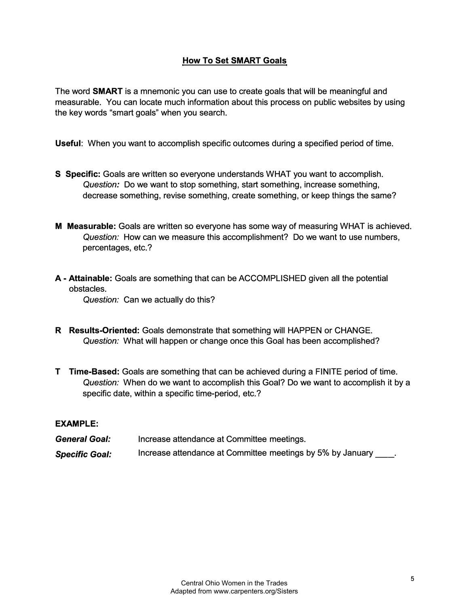## **How To Set SMART Goals**

The word **SMART** is a mnemonic you can use to create goals that will be meaningful and measurable. You can locate much information about this process on public websites by using the key words "smart goals" when you search.

**Useful:** When you want to accomplish specific outcomes during a specified period of time.

- **S Specific:** Goals are written so everyone understands WHAT you want to accomplish. *Question:* Do we want to stop something, start something, increase something, decrease something, revise something, create something, or keep things the same?
- **M Measurable:** Goals are written so everyone has some way of measuring WHAT is achieved. *Question:* How can we measure this accomplishment? Do we want to use numbers, percentages, etc.?
- **A - Attainable:** Goals are something that can be ACCOMPLISHED given all the potential obstacles.

*Question:* Can we actually do this?

- **R Results-Oriented:** Goals demonstrate that something will HAPPEN or CHANGE. *Question:* What will happen or change once this Goal has been accomplished?
- **T Time-Based:** Goals are something that can be achieved during a FINITE period of time. *Question:* When do we want to accomplish this Goal? Do we want to accomplish it by a specific date, within a specific time-period, etc.?

#### **EXAMPLE:**

| <b>General Goal:</b>  | Increase attendance at Committee meetings.                   |
|-----------------------|--------------------------------------------------------------|
| <b>Specific Goal:</b> | Increase attendance at Committee meetings by 5% by January . |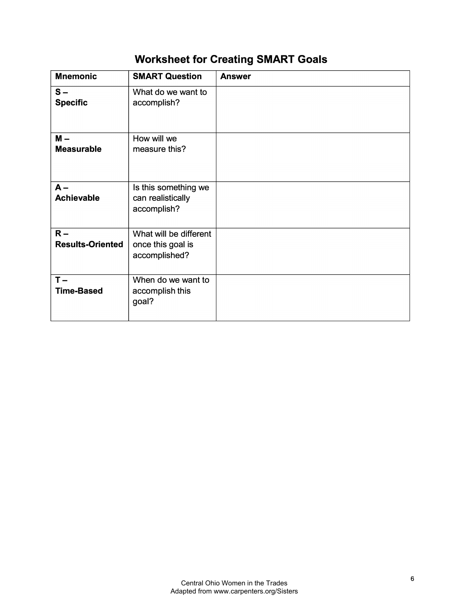# **Worksheet for Creating SMART Goals**

| <b>Mnemonic</b>                  | <b>SMART Question</b>                                        | <b>Answer</b> |
|----------------------------------|--------------------------------------------------------------|---------------|
| $S -$<br><b>Specific</b>         | What do we want to<br>accomplish?                            |               |
| $M -$<br><b>Measurable</b>       | How will we<br>measure this?                                 |               |
| $A -$<br><b>Achievable</b>       | Is this something we<br>can realistically<br>accomplish?     |               |
| $R -$<br><b>Results-Oriented</b> | What will be different<br>once this goal is<br>accomplished? |               |
| $T -$<br><b>Time-Based</b>       | When do we want to<br>accomplish this<br>goal?               |               |